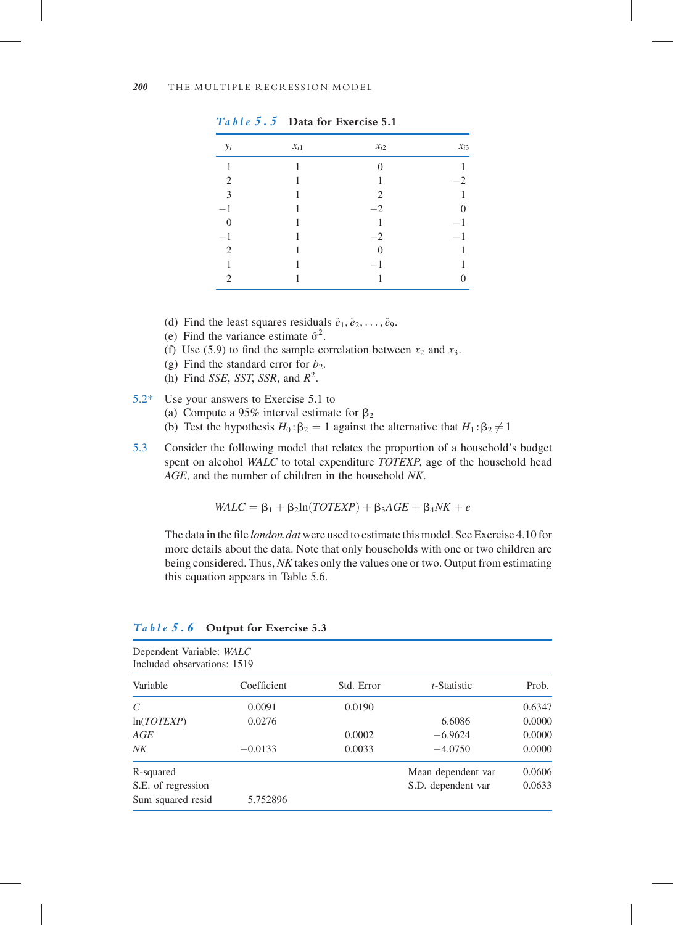5.3 Consider the following model that relates the proportion of a household's budget spent on alcohol WALC to total expenditure TOTEXP, age of the household head AGE, and the number of children in the household NK.

 $WALC = \beta_1 + \beta_2 \ln(TOTEXP) + \beta_3AGE + \beta_4 NK + e$ 

The data in the file *london, dat* were used to estimate this model. See Exercise 4.10 for more details about the data. Note that only households with one or two children are being considered. Thus, NK takes only the values one or two. Output from estimating this equation appears in Table 5.6.

| Dependent Variable: WALC<br>Included observations: 1519 |             |            |                    |        |  |
|---------------------------------------------------------|-------------|------------|--------------------|--------|--|
| Variable                                                | Coefficient | Std. Error | t-Statistic        | Prob.  |  |
| C                                                       | 0.0091      | 0.0190     |                    | 0.6347 |  |
| ln(TOTEXP)                                              | 0.0276      |            | 6.6086             | 0.0000 |  |
| AGE                                                     |             | 0.0002     | $-6.9624$          | 0.0000 |  |
| NK                                                      | $-0.0133$   | 0.0033     | $-4.0750$          | 0.0000 |  |
| R-squared                                               |             |            | Mean dependent var | 0.0606 |  |
| S.E. of regression                                      |             |            | S.D. dependent var | 0.0633 |  |
| Sum squared resid                                       | 5.752896    |            |                    |        |  |

| Table 5.6 Output for Exercise 5.3 |  |  |
|-----------------------------------|--|--|
|-----------------------------------|--|--|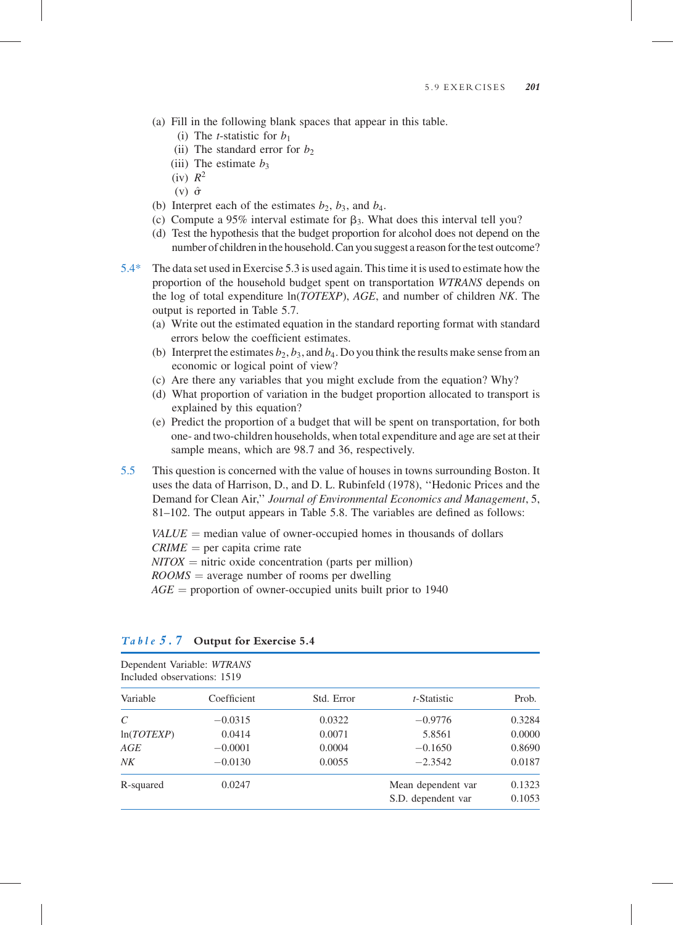## (a) Fill in the following blank spaces that appear in this table.

- (i) The *t*-statistic for  $b_1$
- (ii) The standard error for  $b<sub>2</sub>$
- (iii) The estimate  $b_3$
- $(iv)$   $R^2$
- $(v)$   $\hat{\sigma}$
- (b) Interpret each of the estimates  $b_2$ ,  $b_3$ , and  $b_4$ .
- (c) Compute a 95% interval estimate for  $\beta_3$ . What does this interval tell you?
- (d) Test the hypothesis that the budget proportion for alcohol does not depend on the number of children in the household. Can you suggest a reason for the test outcome?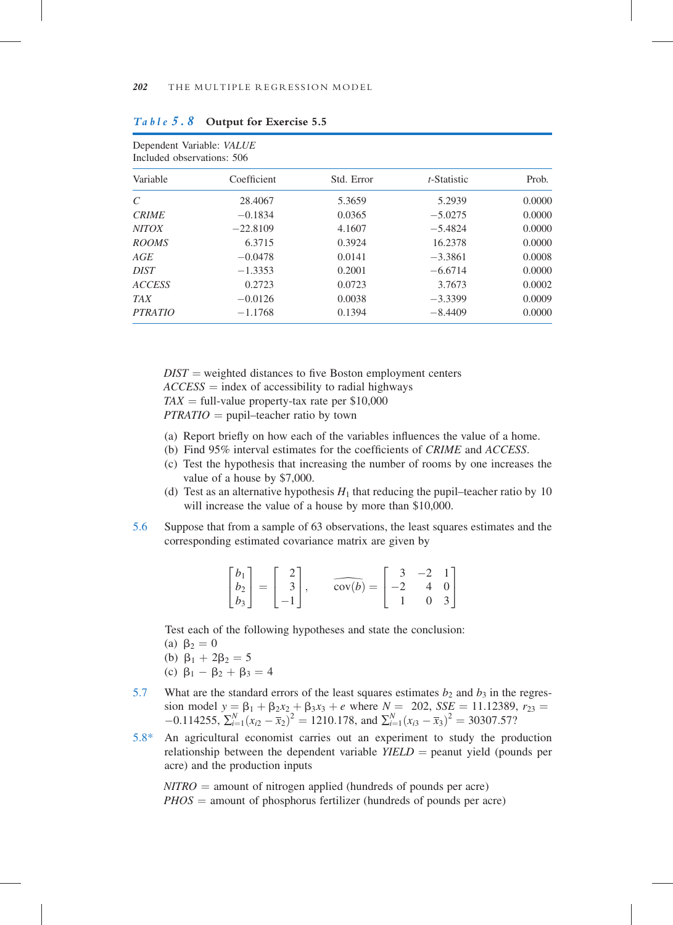5.8\* An agricultural economist carries out an experiment to study the production relationship between the dependent variable  $Y\ddot{E}LD =$  peanut yield (pounds per acre) and the production inputs

 $NITRO =$  amount of nitrogen applied (hundreds of pounds per acre)  $PHOS =$  amount of phosphorus fertilizer (hundreds of pounds per acre)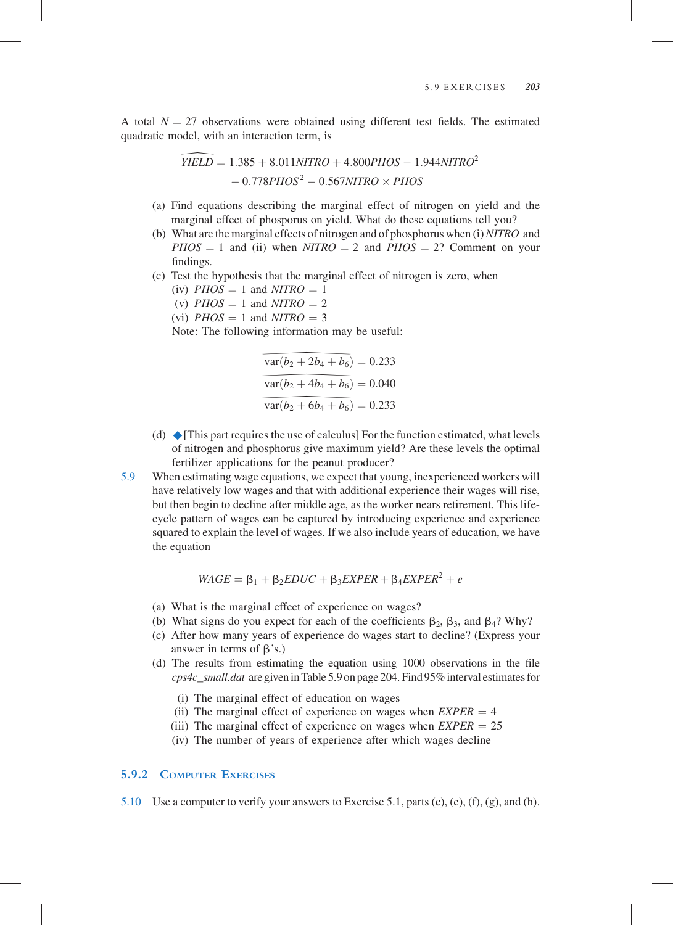A total  $N = 27$  observations were obtained using different test fields. The estimated quadratic model, with an interaction term, is

$$
\overline{YIELD} = 1.385 + 8.011NITRO + 4.800PHOS - 1.944NITRO^2
$$

$$
- 0.778PHOS^2 - 0.567NITRO \times PHOS
$$
(a) Find equations describing the marginal effect of nitrogen on yield and the  
measured effect of the becomes an yield. What do these equations tell you?

- marginal effect of phosporus on yield. What do these equations tell you?
- (b) What are the marginal effects of nitrogen and of phosphorus when  $(i) NITRO$  and  $PHOS = 1$  and (ii) when  $NITRO = 2$  and  $PHOS = 2$ ? Comment on your findings.
- (c) Test the hypothesis that the marginal effect of nitrogen is zero, when
	- (iv)  $PHOS = 1$  and  $NITRO = 1$
	- (v)  $PHOS = 1$  and  $NITRO = 2$
	- (vi)  $PHOS = 1$  and  $NITRO = 3$

Note: The following information may be useful:

$$
\overline{\text{var}(b_2 + 2b_4 + b_6)} = 0.233
$$
  

$$
\overline{\text{var}(b_2 + 4b_4 + b_6)} = 0.040
$$
  

$$
\overline{\text{var}(b_2 + 6b_4 + b_6)} = 0.233
$$
  
es the use of calculus! For the  
osphorus give maximum yield  
ons for the peanut producer?

 $\frac{\text{var}(b_2 + 4b_4 + b_6)}{\text{var}(b_2 + 6b_4 + b_6)}$ <br>s the use of calculus<br>sphorus give maxims for the peanut position var( $b_2 + 6b_4 + b_6$ <br>s the use of calculu<br>sphorus give maxi<br>ns for the peanut 1 (d)  $\blacklozenge$  [This part requires the use of calculus] For the function estimated, what levels of nitrogen and phosphorus give maximum yield? Are these levels the optimal fertilizer applications for the peanut producer?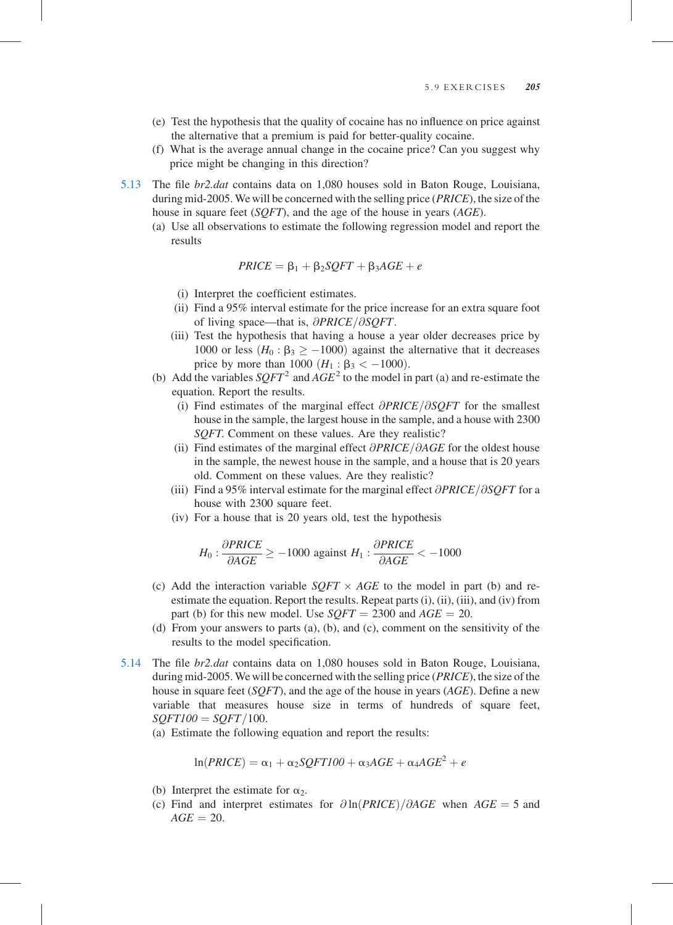- 5.13 The file br2.dat contains data on 1,080 houses sold in Baton Rouge, Louisiana, during mid-2005. We will be concerned with the selling price (PRICE), the size of the house in square feet (*SOFT*), and the age of the house in years (*AGE*).
	- (a) Use all observations to estimate the following regression model and report the results

$$
PRICE = \beta_1 + \beta_2 SCFT + \beta_3AGE + e
$$

- (i) Interpret the coefficient estimates.
- (ii) Find a 95% interval estimate for the price increase for an extra square foot of living space—that is,  $\partial PRICE/\partial SOFT$ .
- (iii) Test the hypothesis that having a house a year older decreases price by 1000 or less ( $H_0$ : β<sub>3</sub>  $\geq$  -1000) against the alternative that it decreases price by more than 1000  $(H_1 : \beta_3 < -1000)$ .
- (b) Add the variables  $SQFT^2$  and  $AGE^2$  to the model in part (a) and re-estimate the equation. Report the results.
	- (i) Find estimates of the marginal effect  $\partial PRICE/\partial SOFT$  for the smallest house in the sample, the largest house in the sample, and a house with 2300 SQFT. Comment on these values. Are they realistic?
	- (ii) Find estimates of the marginal effect  $\partial PRICE/\partial AGE$  for the oldest house in the sample, the newest house in the sample, and a house that is 20 years old. Comment on these values. Are they realistic?
	- (iii) Find a 95% interval estimate for the marginal effect  $\partial PRICE/\partial SOFT$  for a house with 2300 square feet.
	- (iv) For a house that is 20 years old, test the hypothesis

$$
H_0: \frac{\partial PRICE}{\partial AGE} \ge -1000
$$
 against  $H_1: \frac{\partial PRICE}{\partial AGE} < -1000$ 

- (c) Add the interaction variable  $SOFT \times AGE$  to the model in part (b) and reestimate the equation. Report the results. Repeat parts (i), (ii), (iii), and (iv) from part (b) for this new model. Use  $SOFT = 2300$  and  $AGE = 20$ .
- (d) From your answers to parts (a), (b), and (c), comment on the sensitivity of the results to the model specification.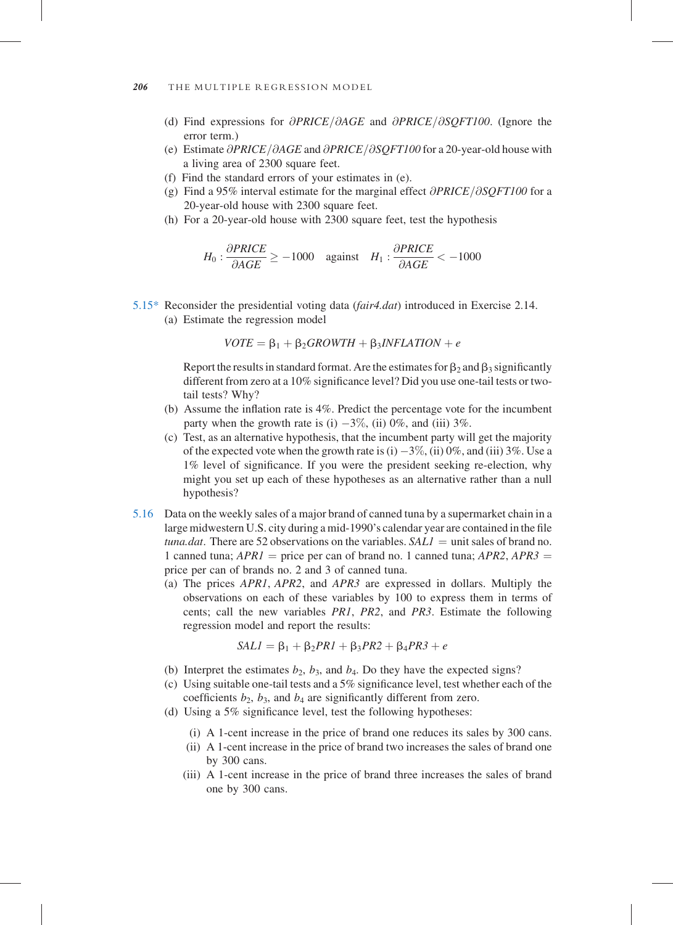- 5.16 Data on the weekly sales of a major brand of canned tuna by a supermarket chain in a large midwestern U.S. city during a mid-1990's calendar year are contained in the file tuna.dat. There are 52 observations on the variables.  $SALI =$  unit sales of brand no. 1 canned tuna;  $APRI =$  price per can of brand no. 1 canned tuna;  $APR2$ ,  $APR3 =$ price per can of brands no. 2 and 3 of canned tuna.
	- (a) The prices APR1, APR2, and APR3 are expressed in dollars. Multiply the observations on each of these variables by 100 to express them in terms of cents; call the new variables PR1, PR2, and PR3. Estimate the following regression model and report the results:

$$
SAL1 = \beta_1 + \beta_2 PR1 + \beta_3 PR2 + \beta_4 PR3 + e
$$

- (b) Interpret the estimates  $b_2$ ,  $b_3$ , and  $b_4$ . Do they have the expected signs?
- (c) Using suitable one-tail tests and a  $5\%$  significance level, test whether each of the coefficients  $b_2$ ,  $b_3$ , and  $b_4$  are significantly different from zero.
- (d) Using a 5% significance level, test the following hypotheses:
	- (i) A 1-cent increase in the price of brand one reduces its sales by 300 cans.
	- (ii) A 1-cent increase in the price of brand two increases the sales of brand one by 300 cans.
	- (iii) A 1-cent increase in the price of brand three increases the sales of brand one by 300 cans.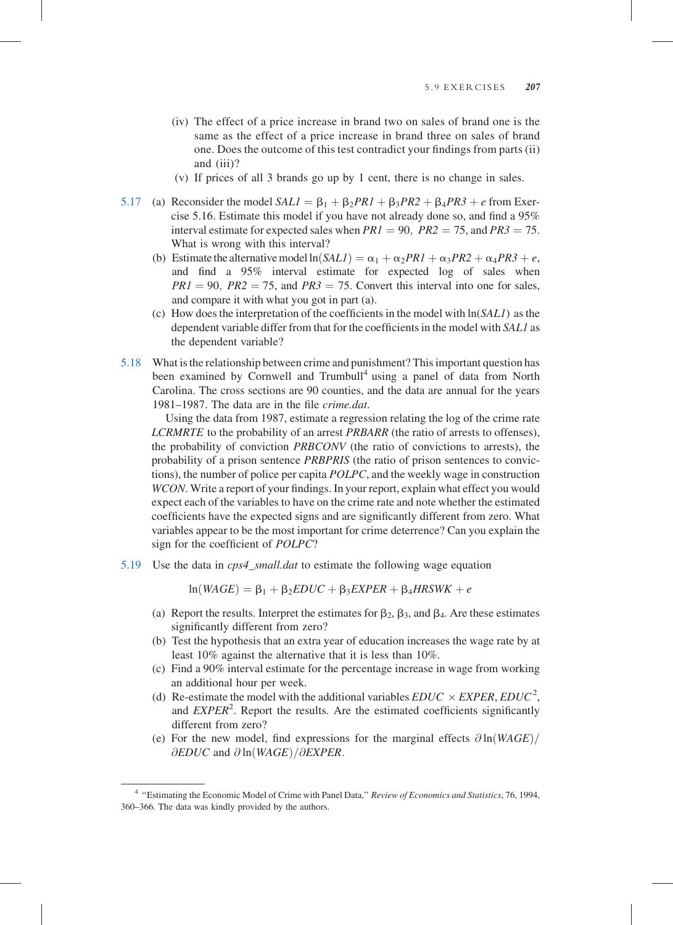(iv) The effect of a price increase in brand two on sales of brand one is the same as the effect of a price increase in brand three on sales of brand one. Does the outcome of this test contradict your findings from parts (ii) and (iii)?

(v) If prices of all 3 brands go up by 1 cent, there is no change in sales.

- 5.17 (a) Reconsider the model  $SALI = \beta_1 + \beta_2 PRI + \beta_3 PR2 + \beta_4 PR3 + e$  from Exercise 5.16. Estimate this model if you have not already done so, and find a 95% interval estimate for expected sales when  $PR1 = 90$ ,  $PR2 = 75$ , and  $PR3 = 75$ . What is wrong with this interval?
	- (b) Estimate the alternative model  $ln(SALI) = \alpha_1 + \alpha_2 PRI + \alpha_3 PR2 + \alpha_4 PR3 + e$ , and find a 95% interval estimate for expected log of sales when  $PRI = 90$ ,  $PR2 = 75$ , and  $PR3 = 75$ . Convert this interval into one for sales, and compare it with what you got in part (a).
	- (c) How does the interpretation of the coefficients in the model with  $\ln(SALI)$  as the dependent variable differ from that for the coefficients in the model with SAL1 as the dependent variable?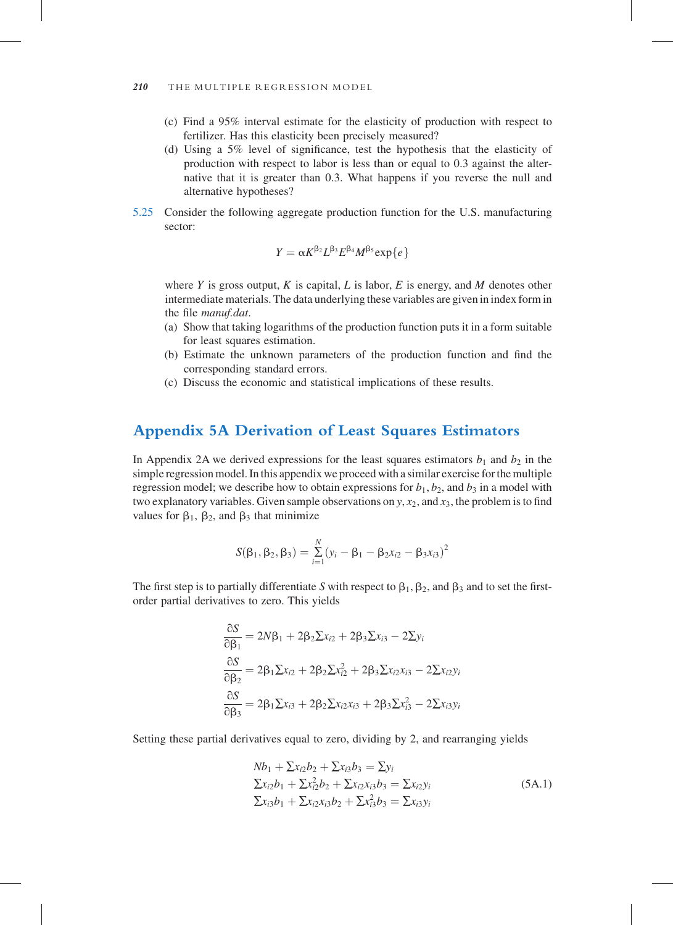# 5.25 Consider the following aggregate production function for the U.S. manufacturing sector:

$$
\textbf{Y}=\alpha \textbf{K}^{\beta_2} \textbf{L}^{\beta_3} \textbf{E}^{\beta_4} \textbf{M}^{\beta_5} \text{exp}\{e\}
$$

where Y is gross output, K is capital, L is labor, E is energy, and M denotes other intermediate materials. The data underlying these variables are given in index form in the file manuf.dat.

- (a) Show that taking logarithms of the production function puts it in a form suitable for least squares estimation.
- (b) Estimate the unknown parameters of the production function and find the corresponding standard errors.
- (c) Discuss the economic and statistical implications of these results.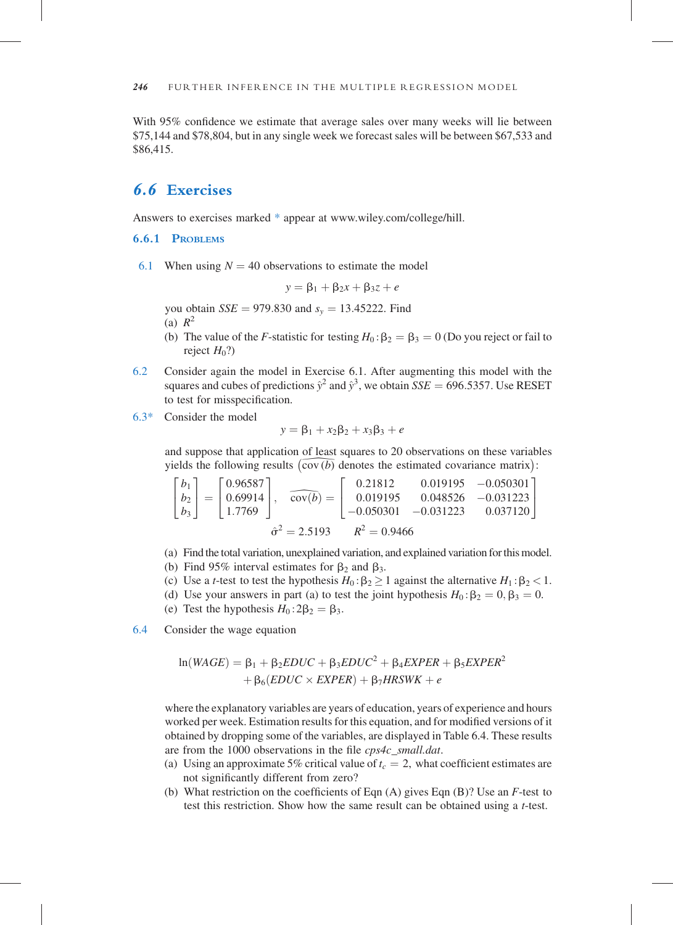6.4 Consider the wage equation

 $ln(WAGE) = B_1 + B_2EDUC + B_3EDUC^2 + B_4EXPER + B_5EXPER^2$  $+ \beta_6(EDUC \times EXPER) + \beta_7HRSWK + e$ 

where the explanatory variables are years of education, years of experience and hours worked per week. Estimation results for this equation, and for modified versions of it obtained by dropping some of the variables, are displayed in Table 6.4. These results are from the 1000 observations in the file cps4c\_small.dat.

- (a) Using an approximate 5% critical value of  $t_c = 2$ , what coefficient estimates are not significantly different from zero?
- (b) What restriction on the coefficients of Eqn (A) gives Eqn (B)? Use an F-test to test this restriction. Show how the same result can be obtained using a t-test.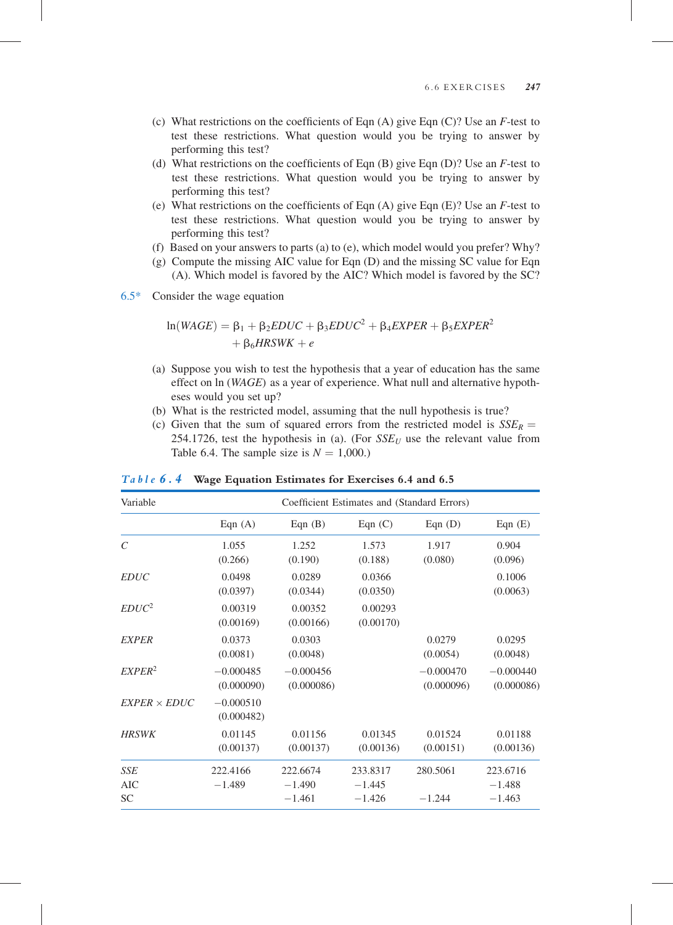#### 6.6 EXERCISES 247

- (c) What restrictions on the coefficients of Eqn  $(A)$  give Eqn  $(C)$ ? Use an F-test to test these restrictions. What question would you be trying to answer by performing this test?
- (d) What restrictions on the coefficients of Eqn  $(B)$  give Eqn  $(D)$ ? Use an F-test to test these restrictions. What question would you be trying to answer by performing this test?
- (e) What restrictions on the coefficients of Eqn  $(A)$  give Eqn  $(E)$ ? Use an F-test to test these restrictions. What question would you be trying to answer by performing this test?
- (f) Based on your answers to parts (a) to (e), which model would you prefer? Why?
- (g) Compute the missing AIC value for Eqn (D) and the missing SC value for Eqn (A). Which model is favored by the AIC? Which model is favored by the SC?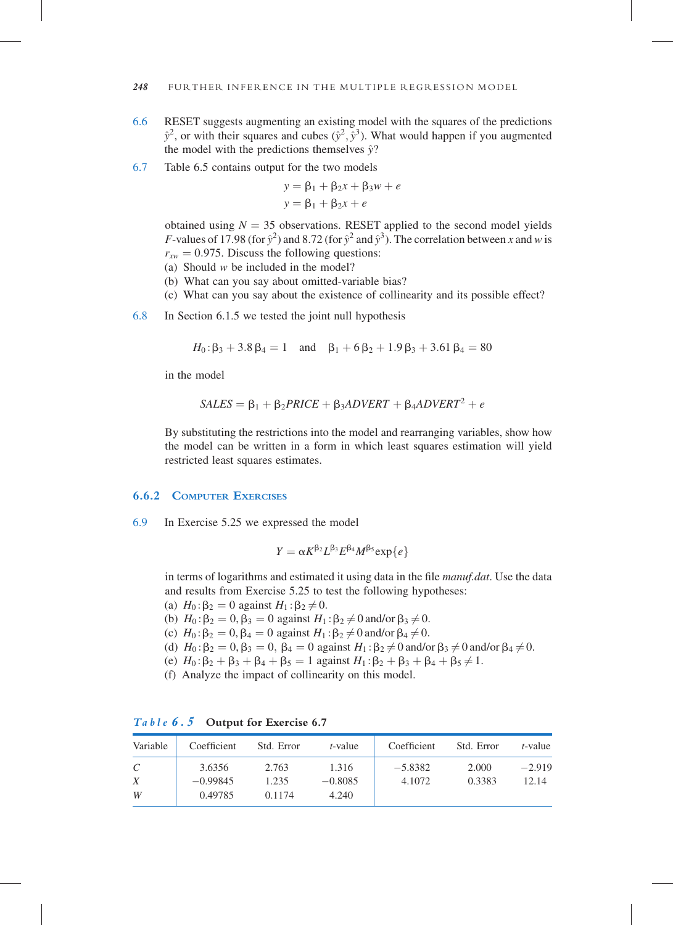#### 6.9 In Exercise 5.25 we expressed the model

$$
Y = \alpha K^{\beta_2} L^{\beta_3} E^{\beta_4} M^{\beta_5} \exp\{e\}
$$

in terms of logarithms and estimated it using data in the file *manuf.dat*. Use the data and results from Exercise 5.25 to test the following hypotheses:

\n- (a) 
$$
H_0: \beta_2 = 0
$$
 against  $H_1: \beta_2 \neq 0$ .
\n- (b)  $H_0: \beta_2 = 0, \beta_3 = 0$  against  $H_1: \beta_2 \neq 0$  and/or  $\beta_3 \neq 0$ .
\n- (c)  $H_0: \beta_2 = 0, \beta_4 = 0$  against  $H_1: \beta_2 \neq 0$  and/or  $\beta_4 \neq 0$ .
\n- (d)  $H_0: \beta_2 = 0, \beta_3 = 0, \beta_4 = 0$  against  $H_1: \beta_2 \neq 0$  and/or  $\beta_3 \neq 0$  and/or  $\beta_4 \neq 0$ .
\n- (e)  $H_0: \beta_2 + \beta_3 + \beta_4 + \beta_5 = 1$  against  $H_1: \beta_2 + \beta_3 + \beta_4 + \beta_5 \neq 1$ .
\n- (f) Analyze the impact of collinearity on this model.
\n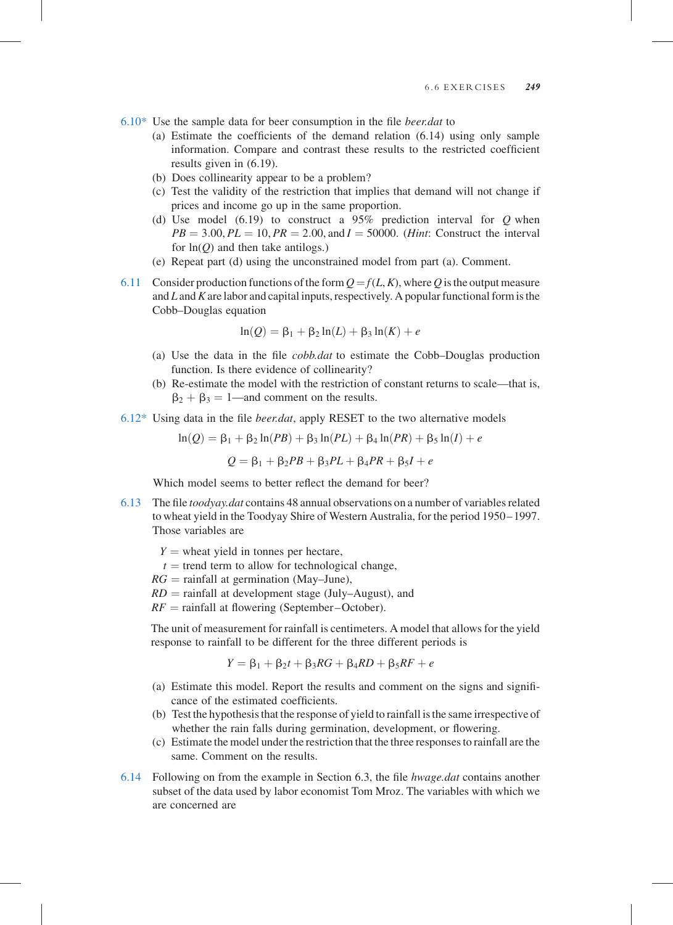- 6.13 The file toodyay.dat contains 48 annual observations on a number of variables related to wheat yield in the Toodyay Shire of Western Australia, for the period 1950– 1997. Those variables are
	- $Y =$  wheat yield in tonnes per hectare,
	- $t =$  trend term to allow for technological change,
	- $RG =$  rainfall at germination (May–June),
	- $RD =$  rainfall at development stage (July–August), and
	- $RF =$  rainfall at flowering (September–October).

The unit of measurement for rainfall is centimeters. A model that allows for the yield response to rainfall to be different for the three different periods is

$$
Y = \beta_1 + \beta_2 t + \beta_3 RG + \beta_4 RD + \beta_5 RF + e
$$

- (a) Estimate this model. Report the results and comment on the signs and significance of the estimated coefficients.
- (b) Test the hypothesis that the response of yield to rainfall is the same irrespective of whether the rain falls during germination, development, or flowering.
- (c) Estimate the model under the restriction that the three responses to rainfall are the same. Comment on the results.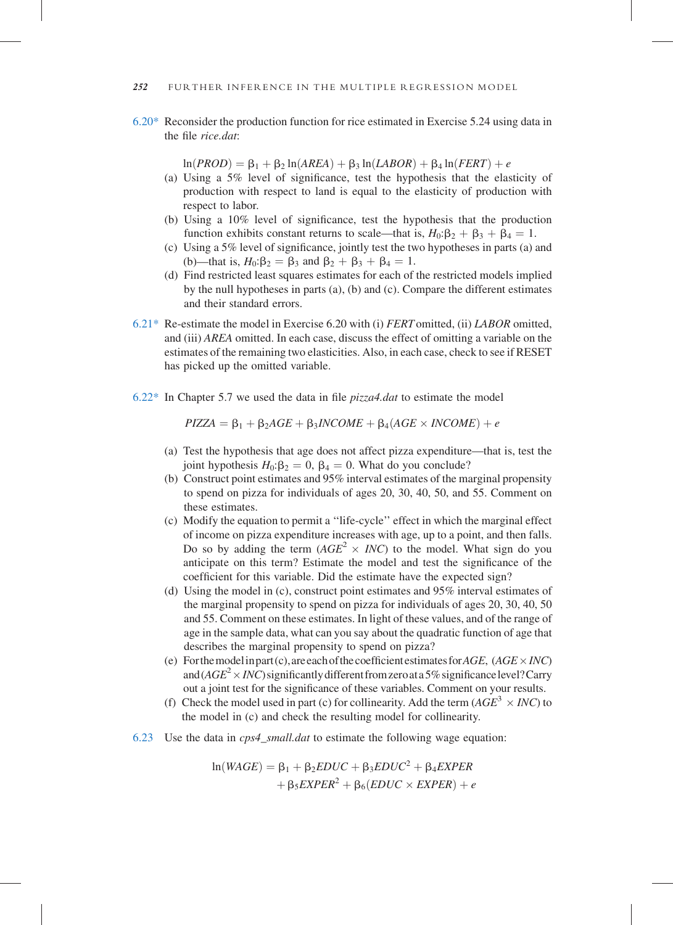$6.22*$  In Chapter 5.7 we used the data in file *pizza4.dat* to estimate the model

 $PIZZA = \beta_1 + \beta_2AGE + \beta_3INCOME + \beta_4(AGE \times INCOME) + e$ 

- (a) Test the hypothesis that age does not affect pizza expenditure—that is, test the joint hypothesis  $H_0$ : $\beta_2 = 0$ ,  $\beta_4 = 0$ . What do you conclude?
- (b) Construct point estimates and 95% interval estimates of the marginal propensity to spend on pizza for individuals of ages 20, 30, 40, 50, and 55. Comment on these estimates.
- (c) Modify the equation to permit a ''life-cycle'' effect in which the marginal effect of income on pizza expenditure increases with age, up to a point, and then falls. Do so by adding the term  $(AGE^2 \times INC)$  to the model. What sign do you anticipate on this term? Estimate the model and test the significance of the coefficient for this variable. Did the estimate have the expected sign?
- (d) Using the model in (c), construct point estimates and 95% interval estimates of the marginal propensity to spend on pizza for individuals of ages 20, 30, 40, 50 and 55. Comment on these estimates. In light of these values, and of the range of age in the sample data, what can you say about the quadratic function of age that describes the marginal propensity to spend on pizza?
- (e) For the model in part (c), are each of the coefficient estimates for  $AGE$ ,  $(AGE \times INC)$ and (AGE<sup>2</sup>  $\times$  *INC*) significantly different from zero at a 5% significance level? Carry out a joint test for the significance of these variables. Comment on your results.
- (f) Check the model used in part (c) for collinearity. Add the term  $(AGE^3 \times INC)$  to the model in (c) and check the resulting model for collinearity.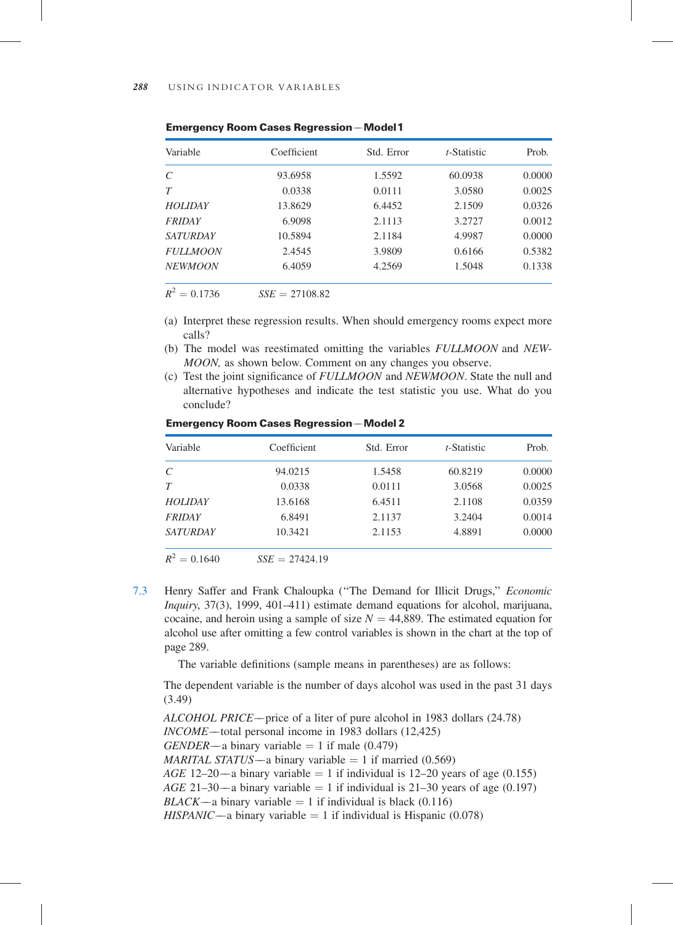7.3 Henry Saffer and Frank Chaloupka (''The Demand for Illicit Drugs,'' Economic Inquiry, 37(3), 1999, 401–411) estimate demand equations for alcohol, marijuana, cocaine, and heroin using a sample of size  $N = 44,889$ . The estimated equation for alcohol use after omitting a few control variables is shown in the chart at the top of page 289.

The variable definitions (sample means in parentheses) are as follows:

The dependent variable is the number of days alcohol was used in the past 31 days (3.49)

```
ALCOHOL PRICE—price of a liter of pure alcohol in 1983 dollars (24.78)
INCOME—total personal income in 1983 dollars (12,425)
GENDER—a binary variable = 1 if male (0.479)
MARITAL STATUS—a binary variable = 1 if married (0.569)
AGE 12–20—a binary variable = 1 if individual is 12–20 years of age (0.155)
AGE\ 21-30- a\ binary\ variable = 1\ if\ individual\ is\ 21-30\ years\ of\ age\ (0.197)BLACK—a binary variable = 1 if individual is black (0.116)
HISPANIC—a binary variable = 1 if individual is Hispanic (0.078)
```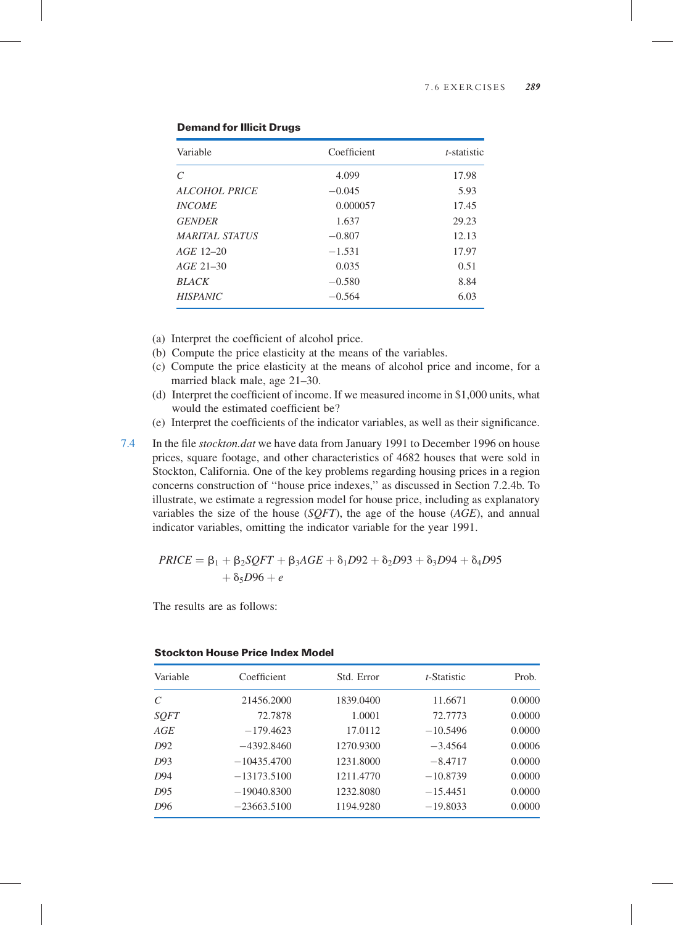| Variable              | Coefficient | t-statistic |
|-----------------------|-------------|-------------|
| $\mathcal{C}$         | 4.099       | 17.98       |
| ALCOHOL PRICE         | $-0.045$    | 5.93        |
| <b>INCOME</b>         | 0.000057    | 17.45       |
| <b>GENDER</b>         | 1.637       | 29.23       |
| <i>MARITAL STATUS</i> | $-0.807$    | 12.13       |
| $AGE$ 12-20           | $-1.531$    | 17.97       |
| $AGE$ 21-30           | 0.035       | 0.51        |
| <b>BLACK</b>          | $-0.580$    | 8.84        |
| <b>HISPANIC</b>       | $-0.564$    | 6.03        |

### Demand for Illicit Drugs

- (a) Interpret the coefficient of alcohol price.
- (b) Compute the price elasticity at the means of the variables.
- (c) Compute the price elasticity at the means of alcohol price and income, for a married black male, age 21–30.
- (d) Interpret the coefficient of income. If we measured income in \$1,000 units, what would the estimated coefficient be?
- (e) Interpret the coefficients of the indicator variables, as well as their significance.